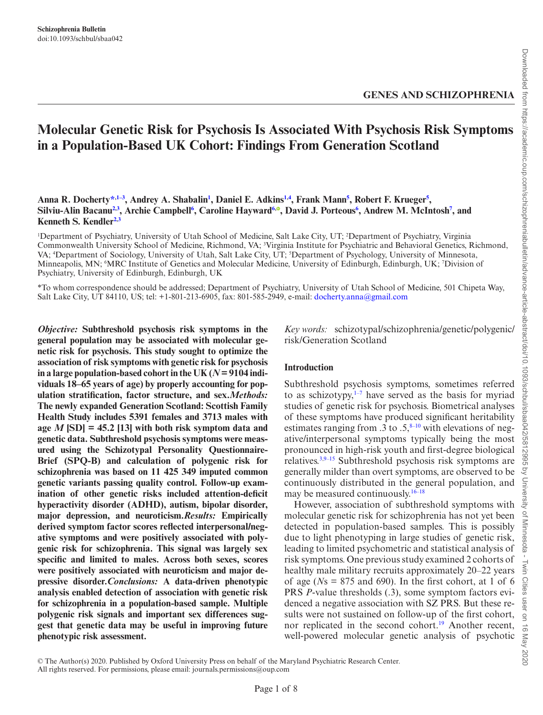# **Molecular Genetic Risk for Psychosis Is Associated With Psychosis Risk Symptoms in a Population-Based UK Cohort: Findings From Generation Scotland**

#### Anna R. Docherty<sup>[\\*,](#page-0-0)[1](#page-0-1)-3</sup>, Andrey A. Shabalin<sup>1</sup>, Daniel E. Adkins<sup>1[,4](#page-0-2)</sup>, Frank Mann<sup>5</sup>, Robert F. Krueger<sup>5</sup>, **Silviu-Alin Bacanu[2](#page-0-4),[3](#page-0-5) , Archie Campbel[l6](#page-0-6) , Caroline Hayward[6](#page-0-6)[,](http://orcid.org/0000-0002-9405-9550) , David J. Porteou[s6](#page-0-6) , Andrew M. McIntosh[7](#page-0-7) , and Kenneth S. Kendle[r2](#page-0-4)[,3](#page-0-5)**

<span id="page-0-5"></span><span id="page-0-4"></span><span id="page-0-3"></span><span id="page-0-2"></span><span id="page-0-1"></span><sup>1</sup>Department of Psychiatry, University of Utah School of Medicine, Salt Lake City, UT; <sup>2</sup>Department of Psychiatry, Virginia Commonwealth University School of Medicine, Richmond, VA; 3 Virginia Institute for Psychiatric and Behavioral Genetics, Richmond, VA; <sup>4</sup>Department of Sociology, University of Utah, Salt Lake City, UT; <sup>5</sup>Department of Psychology, University of Minnesota, Minneapolis, MN; <sup>6</sup>MRC Institute of Genetics and Molecular Medicine, University of Edinburgh, Edinburgh, UK; 7Division of Psychiatry, University of Edinburgh, Edinburgh, UK

<span id="page-0-6"></span><span id="page-0-0"></span>\*To whom correspondence should be addressed; Department of Psychiatry, University of Utah School of Medicine, 501 Chipeta Way, Salt Lake City, UT 84110, US; tel: +1-801-213-6905, fax: 801-585-2949, e-mail: [docherty.anna@gmail.com](mailto:docherty.anna@gmail.com?subject=)

*Objective:* **Subthreshold psychosis risk symptoms in the general population may be associated with molecular genetic risk for psychosis. This study sought to optimize the association of risk symptoms with genetic risk for psychosis**  in a large population-based cohort in the UK  $(N = 9104$  indi**viduals 18–65 years of age) by properly accounting for population stratification, factor structure, and sex.***Methods:* **The newly expanded Generation Scotland: Scottish Family Health Study includes 5391 females and 3713 males with age** *M* **[SD] = 45.2 [13] with both risk symptom data and genetic data. Subthreshold psychosis symptoms were measured using the Schizotypal Personality Questionnaire-Brief (SPQ-B) and calculation of polygenic risk for schizophrenia was based on 11 425 349 imputed common genetic variants passing quality control. Follow-up examination of other genetic risks included attention-deficit hyperactivity disorder (ADHD), autism, bipolar disorder, major depression, and neuroticism.***Results:* **Empirically derived symptom factor scores reflected interpersonal/negative symptoms and were positively associated with polygenic risk for schizophrenia. This signal was largely sex specific and limited to males. Across both sexes, scores were positively associated with neuroticism and major depressive disorder.***Conclusions:* **A data-driven phenotypic analysis enabled detection of association with genetic risk for schizophrenia in a population-based sample. Multiple polygenic risk signals and important sex differences suggest that genetic data may be useful in improving future phenotypic risk assessment.**

<span id="page-0-7"></span>*Key words:* schizotypal/schizophrenia/genetic/polygenic/ risk/Generation Scotland

Downloaded from https://academic.oup.com/schizophreniabulletin/advance-article-abstract/doi/10.1093/schbul/sbaa042/5812995 by University of Minnesota - Twin Cities user on 16 May 2020

by University

of Minnesota

Nin  $\overline{\Omega}$ lies

io.  $\vec{\circ}$ May 2020

### **Introduction**

Subthreshold psychosis symptoms, sometimes referred to as schizotypy, $1-7$  have served as the basis for myriad studies of genetic risk for psychosis. Biometrical analyses of these symptoms have produced significant heritability estimates ranging from .3 to .5, $8-10$  with elevations of negative/interpersonal symptoms typically being the most pronounced in high-risk youth and first-degree biological relatives[.3](#page-4-0),9–15 Subthreshold psychosis risk symptoms are generally milder than overt symptoms, are observed to be continuously distributed in the general population, and may be measured continuously. $16-18$ 

However, association of subthreshold symptoms with molecular genetic risk for schizophrenia has not yet been detected in population-based samples. This is possibly due to light phenotyping in large studies of genetic risk, leading to limited psychometric and statistical analysis of risk symptoms. One previous study examined 2 cohorts of healthy male military recruits approximately 20–22 years of age ( $N_s = 875$  and 690). In the first cohort, at 1 of 6 PRS *P*-value thresholds (.3), some symptom factors evidenced a negative association with SZ PRS. But these results were not sustained on follow-up of the first cohort, nor replicated in the second cohort.<sup>19</sup> Another recent, well-powered molecular genetic analysis of psychotic

© The Author(s) 2020. Published by Oxford University Press on behalf of the Maryland Psychiatric Research Center.

All rights reserved. For permissions, please email: journals.permissions@oup.com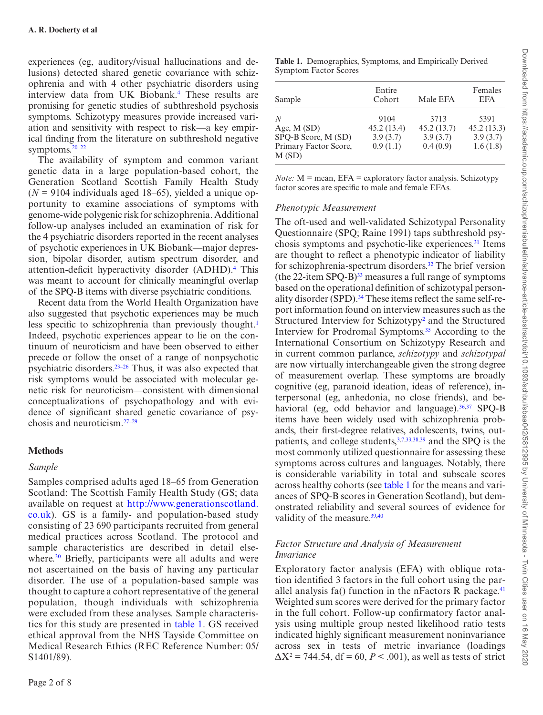experiences (eg, auditory/visual hallucinations and delusions) detected shared genetic covariance with schizophrenia and with 4 other psychiatric disorders using interview data from UK Biobank[.4](#page-4-1) These results are promising for genetic studies of subthreshold psychosis symptoms. Schizotypy measures provide increased variation and sensitivity with respect to risk—a key empirical finding from the literature on subthreshold negative symptoms.20–22

The availability of symptom and common variant genetic data in a large population-based cohort, the Generation Scotland Scottish Family Health Study  $(N = 9104$  individuals aged 18–65), yielded a unique opportunity to examine associations of symptoms with genome-wide polygenic risk for schizophrenia. Additional follow-up analyses included an examination of risk for the 4 psychiatric disorders reported in the recent analyses of psychotic experiences in UK Biobank—major depression, bipolar disorder, autism spectrum disorder, and attention-deficit hyperactivity disorder (ADHD).<sup>4</sup> This was meant to account for clinically meaningful overlap of the SPQ-B items with diverse psychiatric conditions.

Recent data from the World Health Organization have also suggested that psychotic experiences may be much less specific to schizophrenia than previously thought.<sup>[1](#page-4-2)</sup> Indeed, psychotic experiences appear to lie on the continuum of neuroticism and have been observed to either precede or follow the onset of a range of nonpsychotic psychiatric disorders.23–26 Thus, it was also expected that risk symptoms would be associated with molecular genetic risk for neuroticism—consistent with dimensional conceptualizations of psychopathology and with evidence of significant shared genetic covariance of psychosis and neuroticism.27–29

#### **Methods**

#### *Sample*

Samples comprised adults aged 18–65 from Generation Scotland: The Scottish Family Health Study (GS; data available on request at [http://www.generationscotland.](http://www.generationscotland.co.uk) [co.uk\)](http://www.generationscotland.co.uk). GS is a family- and population-based study consisting of 23 690 participants recruited from general medical practices across Scotland. The protocol and sample characteristics are described in detail elsewhere.<sup>30</sup> Briefly, participants were all adults and were not ascertained on the basis of having any particular disorder. The use of a population-based sample was thought to capture a cohort representative of the general population, though individuals with schizophrenia were excluded from these analyses. Sample characteristics for this study are presented in [table 1.](#page-1-0) GS received ethical approval from the NHS Tayside Committee on Medical Research Ethics (REC Reference Number: 05/ S1401/89).

<span id="page-1-0"></span>**Table 1.** Demographics, Symptoms, and Empirically Derived Symptom Factor Scores

| Sample                         | Entire<br>Cohort | Male EFA   | Females<br><b>EFA</b> |
|--------------------------------|------------------|------------|-----------------------|
| N                              | 9104             | 3713       | 5391                  |
| Age, $M(SD)$                   | 45.2(13.4)       | 45.2(13.7) | 45.2(13.3)            |
| SPQ-B Score, M (SD)            | 3.9(3.7)         | 3.9(3.7)   | 3.9(3.7)              |
| Primary Factor Score,<br>M(SD) | 0.9(1.1)         | 0.4(0.9)   | 1.6(1.8)              |

*Note:* M = mean, EFA = exploratory factor analysis. Schizotypy factor scores are specific to male and female EFAs.

#### *Phenotypic Measurement*

The oft-used and well-validated Schizotypal Personality Questionnaire (SPQ; Raine 1991) taps subthreshold psychosis symptoms and psychotic-like experiences[.31](#page-5-2) Items are thought to reflect a phenotypic indicator of liability for schizophrenia-spectrum disorders.[32](#page-5-3) The brief version (the  $22$ -item SPQ-B)<sup>33</sup> measures a full range of symptoms based on the operational definition of schizotypal personality disorder (SPD).<sup>34</sup> These items reflect the same self-report information found on interview measures such as the Structured Interview for Schizotypy<sup>[2](#page-4-3)</sup> and the Structured Interview for Prodromal Symptoms[.35](#page-5-6) According to the International Consortium on Schizotypy Research and in current common parlance, *schizotypy* and *schizotypal* are now virtually interchangeable given the strong degree of measurement overlap. These symptoms are broadly cognitive (eg, paranoid ideation, ideas of reference), interpersonal (eg, anhedonia, no close friends), and behavioral (eg, odd behavior and language). $36,37$  $36,37$  SPQ-B items have been widely used with schizophrenia probands, their first-degree relatives, adolescents, twins, outpatients, and college students[,3](#page-4-0)[,7](#page-4-4),[33,](#page-5-4)[38](#page-5-9)[,39](#page-5-10) and the SPQ is the most commonly utilized questionnaire for assessing these symptoms across cultures and languages. Notably, there is considerable variability in total and subscale scores across healthy cohorts (see [table 1](#page-1-0) for the means and variances of SPQ-B scores in Generation Scotland), but demonstrated reliability and several sources of evidence for validity of the measure.<sup>39[,40](#page-5-11)</sup>

#### *Factor Structure and Analysis of Measurement Invariance*

Exploratory factor analysis (EFA) with oblique rotation identified 3 factors in the full cohort using the parallel analysis fa() function in the nFactors R package. $41$ Weighted sum scores were derived for the primary factor in the full cohort. Follow-up confirmatory factor analysis using multiple group nested likelihood ratio tests indicated highly significant measurement noninvariance across sex in tests of metric invariance (loadings  $\Delta X^2$  = 744.54, df = 60, *P* < .001), as well as tests of strict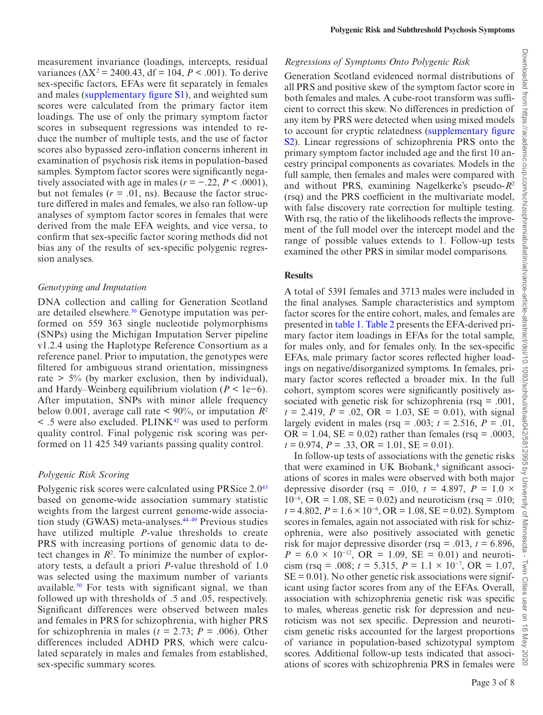measurement invariance (loadings, intercepts, residual variances ( $\Delta X^2$  = 2400.43, df = 104, *P* < .001). To derive sex-specific factors, EFAs were fit separately in females and males ([supplementary figure S1](http://academic.oup.com/schizophreniabulletin/article-lookup/doi/10.1093/schbul/sbaa042#supplementary-data)), and weighted sum scores were calculated from the primary factor item loadings. The use of only the primary symptom factor scores in subsequent regressions was intended to reduce the number of multiple tests, and the use of factor scores also bypassed zero-inflation concerns inherent in examination of psychosis risk items in population-based samples. Symptom factor scores were significantly negatively associated with age in males ( $r = -0.22$ ,  $P < 0.0001$ ), but not females  $(r = .01, \text{ ns})$ . Because the factor structure differed in males and females, we also ran follow-up analyses of symptom factor scores in females that were derived from the male EFA weights, and vice versa, to confirm that sex-specific factor scoring methods did not bias any of the results of sex-specific polygenic regression analyses.

#### *Genotyping and Imputation*

DNA collection and calling for Generation Scotland are detailed elsewhere.<sup>30</sup> Genotype imputation was performed on 559 363 single nucleotide polymorphisms (SNPs) using the Michigan Imputation Server pipeline v1.2.4 using the Haplotype Reference Consortium as a reference panel. Prior to imputation, the genotypes were filtered for ambiguous strand orientation, missingness rate  $> 5\%$  (by marker exclusion, then by individual), and Hardy–Weinberg equilibrium violation  $(P < 1e-6)$ . After imputation, SNPs with minor allele frequency below 0.001, average call rate  $\leq 90\%$ , or imputation  $R^2$  $\leq$  .5 were also excluded. PLINK<sup>[42](#page-6-1)</sup> was used to perform quality control. Final polygenic risk scoring was performed on 11 425 349 variants passing quality control.

### *Polygenic Risk Scoring*

Polygenic risk scores were calculated using PRSice 2.0<sup>[43](#page-6-2)</sup> based on genome-wide association summary statistic weights from the largest current genome-wide association study (GWAS) meta-analyses.<sup>44-49</sup> Previous studies have utilized multiple *P*-value thresholds to create PRS with increasing portions of genomic data to detect changes in  $R<sup>2</sup>$ . To minimize the number of exploratory tests, a default a priori *P*-value threshold of 1.0 was selected using the maximum number of variants available.<sup>50</sup> For tests with significant signal, we than followed up with thresholds of .5 and .05, respectively. Significant differences were observed between males and females in PRS for schizophrenia, with higher PRS for schizophrenia in males ( $t = 2.73$ ;  $P = .006$ ). Other differences included ADHD PRS, which were calculated separately in males and females from established, sex-specific summary scores.

### *Regressions of Symptoms Onto Polygenic Risk*

Generation Scotland evidenced normal distributions of all PRS and positive skew of the symptom factor score in both females and males. A cube-root transform was sufficient to correct this skew. No differences in prediction of any item by PRS were detected when using mixed models to account for cryptic relatedness [\(supplementary figure](http://academic.oup.com/schizophreniabulletin/article-lookup/doi/10.1093/schbul/sbaa042#supplementary-data)  [S2](http://academic.oup.com/schizophreniabulletin/article-lookup/doi/10.1093/schbul/sbaa042#supplementary-data)). Linear regressions of schizophrenia PRS onto the primary symptom factor included age and the first 10 ancestry principal components as covariates. Models in the full sample, then females and males were compared with and without PRS, examining Nagelkerke's pseudo-*R*<sup>2</sup> (rsq) and the PRS coefficient in the multivariate model, with false discovery rate correction for multiple testing. With rsq, the ratio of the likelihoods reflects the improvement of the full model over the intercept model and the range of possible values extends to 1. Follow-up tests examined the other PRS in similar model comparisons.

### **Results**

A total of 5391 females and 3713 males were included in the final analyses. Sample characteristics and symptom factor scores for the entire cohort, males, and females are presented in [table 1](#page-1-0). [Table 2](#page-3-0) presents the EFA-derived primary factor item loadings in EFAs for the total sample, for males only, and for females only. In the sex-specific EFAs, male primary factor scores reflected higher loadings on negative/disorganized symptoms. In females, primary factor scores reflected a broader mix. In the full cohort, symptom scores were significantly positively associated with genetic risk for schizophrenia (rsq = .001,  $t = 2.419$ ,  $P = .02$ ,  $OR = 1.03$ ,  $SE = 0.01$ ), with signal largely evident in males (rsq = .003;  $t = 2.516$ ,  $P = .01$ ,  $OR = 1.04$ ,  $SE = 0.02$ ) rather than females (rsq = .0003,  $t = 0.974$ ,  $P = .33$ ,  $OR = 1.01$ ,  $SE = 0.01$ ).

In follow-up tests of associations with the genetic risks that were examined in UK Biobank, $4$  significant associations of scores in males were observed with both major depressive disorder (rsq = .010,  $t = 4.897$ ,  $P = 1.0 \times$  $10^{-6}$ , OR = 1.08, SE = 0.02) and neuroticism (rsq = .010; *t* = 4.802, *P* = 1.6 × 10<sup>-6</sup>, OR = 1.08, SE = 0.02). Symptom scores in females, again not associated with risk for schizophrenia, were also positively associated with genetic risk for major depressive disorder (rsq = .013,  $t = 6.896$ ,  $P = 6.0 \times 10^{-12}$ , OR = 1.09, SE = 0.01) and neuroticism (rsq = .008;  $t = 5.315$ ,  $P = 1.1 \times 10^{-7}$ , OR = 1.07,  $SE = 0.01$ ). No other genetic risk associations were significant using factor scores from any of the EFAs. Overall, association with schizophrenia genetic risk was specific to males, whereas genetic risk for depression and neuroticism was not sex specific. Depression and neuroticism genetic risks accounted for the largest proportions of variance in population-based schizotypal symptom scores. Additional follow-up tests indicated that associations of scores with schizophrenia PRS in females were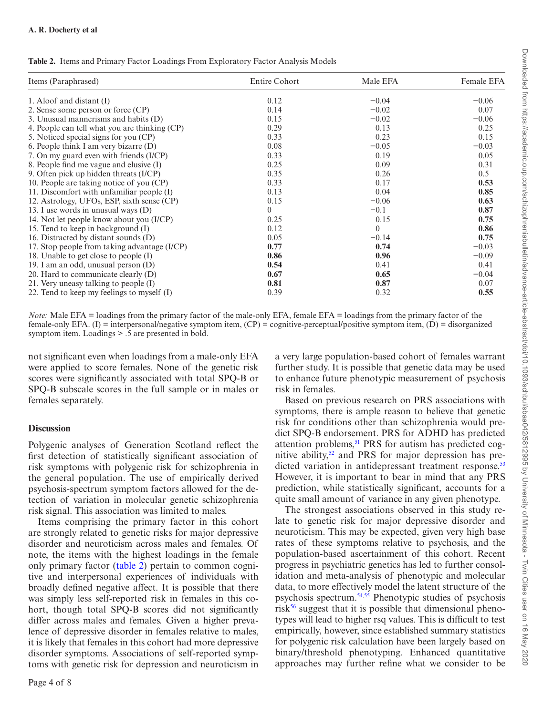<span id="page-3-0"></span>**Table 2.** Items and Primary Factor Loadings From Exploratory Factor Analysis Models

| Items (Paraphrased)                           | Entire Cohort | Male EFA | Female EFA |
|-----------------------------------------------|---------------|----------|------------|
| 1. Aloof and distant $(I)$                    | 0.12          | $-0.04$  | $-0.06$    |
| 2. Sense some person or force (CP)            | 0.14          | $-0.02$  | 0.07       |
| 3. Unusual mannerisms and habits (D)          | 0.15          | $-0.02$  | $-0.06$    |
| 4. People can tell what you are thinking (CP) | 0.29          | 0.13     | 0.25       |
| 5. Noticed special signs for you (CP)         | 0.33          | 0.23     | 0.15       |
| 6. People think I am very bizarre (D)         | 0.08          | $-0.05$  | $-0.03$    |
| 7. On my guard even with friends (I/CP)       | 0.33          | 0.19     | 0.05       |
| 8. People find me vague and elusive (I)       | 0.25          | 0.09     | 0.31       |
| 9. Often pick up hidden threats (I/CP)        | 0.35          | 0.26     | 0.5        |
| 10. People are taking notice of you (CP)      | 0.33          | 0.17     | 0.53       |
| 11. Discomfort with unfamiliar people (I)     | 0.13          | 0.04     | 0.85       |
| 12. Astrology, UFOs, ESP, sixth sense (CP)    | 0.15          | $-0.06$  | 0.63       |
| 13. I use words in unusual ways (D)           | $\theta$      | $-0.1$   | 0.87       |
| 14. Not let people know about you (I/CP)      | 0.25          | 0.15     | 0.75       |
| 15. Tend to keep in background (I)            | 0.12          | $\Omega$ | 0.86       |
| 16. Distracted by distant sounds (D)          | 0.05          | $-0.14$  | 0.75       |
| 17. Stop people from taking advantage (I/CP)  | 0.77          | 0.74     | $-0.03$    |
| 18. Unable to get close to people (I)         | 0.86          | 0.96     | $-0.09$    |
| 19. I am an odd, unusual person (D)           | 0.54          | 0.41     | 0.41       |
| 20. Hard to communicate clearly $(D)$         | 0.67          | 0.65     | $-0.04$    |
| 21. Very uneasy talking to people (I)         | 0.81          | 0.87     | 0.07       |
| 22. Tend to keep my feelings to myself $(I)$  | 0.39          | 0.32     | 0.55       |

*Note:* Male EFA = loadings from the primary factor of the male-only EFA, female EFA = loadings from the primary factor of the female-only EFA. (I) = interpersonal/negative symptom item, (CP) = cognitive-perceptual/positive symptom item, (D) = disorganized symptom item. Loadings > .5 are presented in bold.

not significant even when loadings from a male-only EFA were applied to score females. None of the genetic risk scores were significantly associated with total SPQ-B or SPQ-B subscale scores in the full sample or in males or females separately.

#### **Discussion**

Polygenic analyses of Generation Scotland reflect the first detection of statistically significant association of risk symptoms with polygenic risk for schizophrenia in the general population. The use of empirically derived psychosis-spectrum symptom factors allowed for the detection of variation in molecular genetic schizophrenia risk signal. This association was limited to males.

Items comprising the primary factor in this cohort are strongly related to genetic risks for major depressive disorder and neuroticism across males and females. Of note, the items with the highest loadings in the female only primary factor [\(table 2](#page-3-0)) pertain to common cognitive and interpersonal experiences of individuals with broadly defined negative affect. It is possible that there was simply less self-reported risk in females in this cohort, though total SPQ-B scores did not significantly differ across males and females. Given a higher prevalence of depressive disorder in females relative to males, it is likely that females in this cohort had more depressive disorder symptoms. Associations of self-reported symptoms with genetic risk for depression and neuroticism in

a very large population-based cohort of females warrant further study. It is possible that genetic data may be used to enhance future phenotypic measurement of psychosis risk in females.

Based on previous research on PRS associations with symptoms, there is ample reason to believe that genetic risk for conditions other than schizophrenia would predict SPQ-B endorsement. PRS for ADHD has predicted attention problems,<sup>51</sup> PRS for autism has predicted cognitive ability,<sup>52</sup> and PRS for major depression has pre-dicted variation in antidepressant treatment response.<sup>[53](#page-6-6)</sup> However, it is important to bear in mind that any PRS prediction, while statistically significant, accounts for a quite small amount of variance in any given phenotype.

The strongest associations observed in this study relate to genetic risk for major depressive disorder and neuroticism. This may be expected, given very high base rates of these symptoms relative to psychosis, and the population-based ascertainment of this cohort. Recent progress in psychiatric genetics has led to further consolidation and meta-analysis of phenotypic and molecular data, to more effectively model the latent structure of the psychosis spectrum.[54](#page-6-7)[,55](#page-6-8) Phenotypic studies of psychosis risk<sup>56</sup> suggest that it is possible that dimensional phenotypes will lead to higher rsq values. This is difficult to test empirically, however, since established summary statistics for polygenic risk calculation have been largely based on binary/threshold phenotyping. Enhanced quantitative approaches may further refine what we consider to be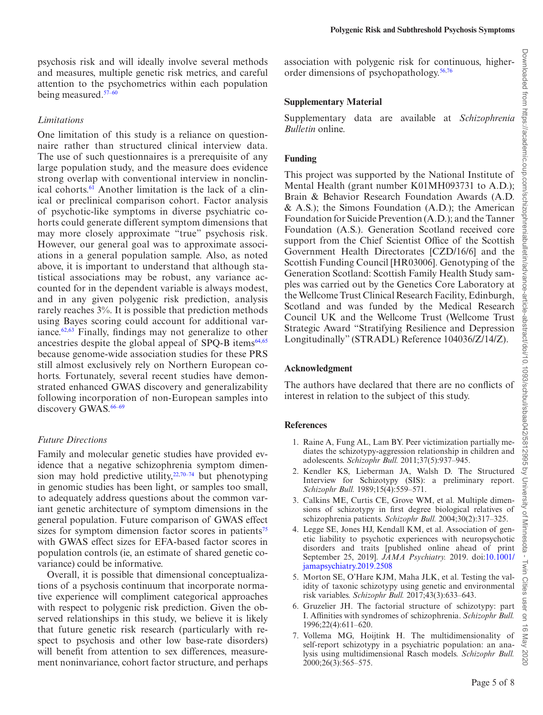psychosis risk and will ideally involve several methods and measures, multiple genetic risk metrics, and careful attention to the psychometrics within each population being measured.<sup>57-60</sup>

### *Limitations*

One limitation of this study is a reliance on questionnaire rather than structured clinical interview data. The use of such questionnaires is a prerequisite of any large population study, and the measure does evidence strong overlap with conventional interview in nonclinical cohorts.<sup>61</sup> Another limitation is the lack of a clinical or preclinical comparison cohort. Factor analysis of psychotic-like symptoms in diverse psychiatric cohorts could generate different symptom dimensions that may more closely approximate "true" psychosis risk. However, our general goal was to approximate associations in a general population sample. Also, as noted above, it is important to understand that although statistical associations may be robust, any variance accounted for in the dependent variable is always modest, and in any given polygenic risk prediction, analysis rarely reaches 3%. It is possible that prediction methods using Bayes scoring could account for additional variance. $62,63$  $62,63$  $62,63$  Finally, findings may not generalize to other ancestries despite the global appeal of SPO-B items $64,65$  $64,65$  $64,65$ because genome-wide association studies for these PRS still almost exclusively rely on Northern European cohorts. Fortunately, several recent studies have demonstrated enhanced GWAS discovery and generalizability following incorporation of non-European samples into discovery GWAS.<sup>66-69</sup>

# *Future Directions*

Family and molecular genetic studies have provided evidence that a negative schizophrenia symptom dimension may hold predictive utility, $22,70-74$  but phenotyping in genomic studies has been light, or samples too small, to adequately address questions about the common variant genetic architecture of symptom dimensions in the general population. Future comparison of GWAS effect sizes for symptom dimension factor scores in patients<sup>[75](#page-7-0)</sup> with GWAS effect sizes for EFA-based factor scores in population controls (ie, an estimate of shared genetic covariance) could be informative.

Overall, it is possible that dimensional conceptualizations of a psychosis continuum that incorporate normative experience will compliment categorical approaches with respect to polygenic risk prediction. Given the observed relationships in this study, we believe it is likely that future genetic risk research (particularly with respect to psychosis and other low base-rate disorders) will benefit from attention to sex differences, measurement noninvariance, cohort factor structure, and perhaps association with polygenic risk for continuous, higherorder dimensions of psychopathology.[56](#page-6-9),[76](#page-7-1)

**Polygenic Risk and Subthreshold Psychosis Symptoms**

# **Supplementary Material**

Supplementary data are available at *Schizophrenia Bulletin* online.

# **Funding**

This project was supported by the National Institute of Mental Health (grant number K01MH093731 to A.D.); Brain & Behavior Research Foundation Awards (A.D.  $\&$  A.S.); the Simons Foundation (A.D.); the American Foundation for Suicide Prevention (A.D.); and the Tanner Foundation (A.S.). Generation Scotland received core support from the Chief Scientist Office of the Scottish Government Health Directorates [CZD/16/6] and the Scottish Funding Council [HR03006]. Genotyping of the Generation Scotland: Scottish Family Health Study samples was carried out by the Genetics Core Laboratory at the Wellcome Trust Clinical Research Facility, Edinburgh, Scotland and was funded by the Medical Research Council UK and the Wellcome Trust (Wellcome Trust Strategic Award "Stratifying Resilience and Depression Longitudinally" (STRADL) Reference 104036/Z/14/Z).

# **Acknowledgment**

The authors have declared that there are no conflicts of interest in relation to the subject of this study.

# **References**

- <span id="page-4-2"></span>1. Raine A, Fung AL, Lam BY. Peer victimization partially mediates the schizotypy-aggression relationship in children and adolescents. *Schizophr Bull.* 2011;37(5):937–945.
- <span id="page-4-3"></span>2. Kendler KS, Lieberman JA, Walsh D. The Structured Interview for Schizotypy (SIS): a preliminary report. *Schizophr Bull.* 1989;15(4):559–571.
- <span id="page-4-0"></span>3. Calkins ME, Curtis CE, Grove WM, et al. Multiple dimensions of schizotypy in first degree biological relatives of schizophrenia patients. *Schizophr Bull.* 2004;30(2):317–325.
- <span id="page-4-1"></span>4. Legge SE, Jones HJ, Kendall KM, et al. Association of genetic liability to psychotic experiences with neuropsychotic disorders and traits [published online ahead of print September 25, 2019]. *JAMA Psychiatry.* 2019. doi[:10.1001/](http://10.1001/jamapsychiatry.2019.2508) [jamapsychiatry.2019.2508](http://10.1001/jamapsychiatry.2019.2508)
- 5. Morton SE, O'Hare KJM, Maha JLK, et al. Testing the validity of taxonic schizotypy using genetic and environmental risk variables. *Schizophr Bull.* 2017;43(3):633–643.
- 6. Gruzelier JH. The factorial structure of schizotypy: part I. Affinities with syndromes of schizophrenia. *Schizophr Bull.* 1996;22(4):611–620.
- <span id="page-4-4"></span>7. Vollema MG, Hoijtink H. The multidimensionality of self-report schizotypy in a psychiatric population: an analysis using multidimensional Rasch models. *Schizophr Bull.* 2000;26(3):565–575.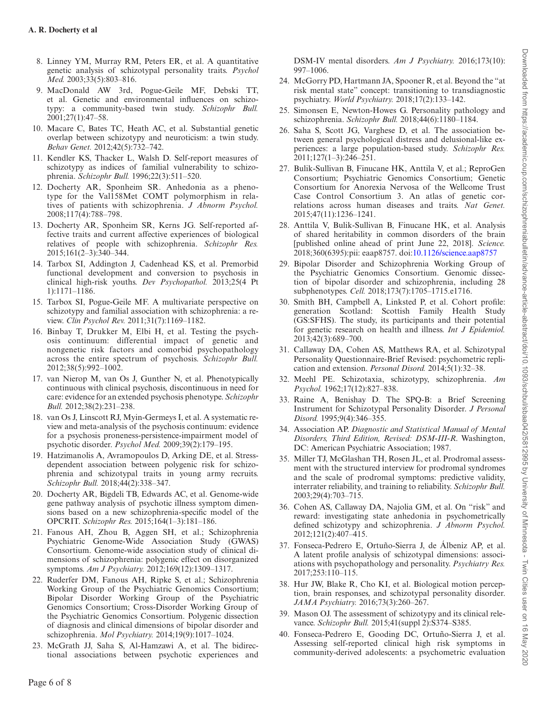- 8. Linney YM, Murray RM, Peters ER, et al. A quantitative genetic analysis of schizotypal personality traits. *Psychol Med.* 2003;33(5):803–816.
- 9. MacDonald AW 3rd, Pogue-Geile MF, Debski TT, et al. Genetic and environmental influences on schizotypy: a community-based twin study. *Schizophr Bull.* 2001;27(1):47–58.
- 10. Macare C, Bates TC, Heath AC, et al. Substantial genetic overlap between schizotypy and neuroticism: a twin study. *Behav Genet.* 2012;42(5):732–742.
- 11. Kendler KS, Thacker L, Walsh D. Self-report measures of schizotypy as indices of familial vulnerability to schizophrenia. *Schizophr Bull.* 1996;22(3):511–520.
- 12. Docherty AR, Sponheim SR. Anhedonia as a phenotype for the Val158Met COMT polymorphism in relatives of patients with schizophrenia. *J Abnorm Psychol.* 2008;117(4):788–798.
- 13. Docherty AR, Sponheim SR, Kerns JG. Self-reported affective traits and current affective experiences of biological relatives of people with schizophrenia. *Schizophr Res.* 2015;161(2–3):340–344.
- 14. Tarbox SI, Addington J, Cadenhead KS, et al. Premorbid functional development and conversion to psychosis in clinical high-risk youths. *Dev Psychopathol.* 2013;25(4 Pt 1):1171–1186.
- 15. Tarbox SI, Pogue-Geile MF. A multivariate perspective on schizotypy and familial association with schizophrenia: a review. *Clin Psychol Rev.* 2011;31(7):1169–1182.
- 16. Binbay T, Drukker M, Elbi H, et al. Testing the psychosis continuum: differential impact of genetic and nongenetic risk factors and comorbid psychopathology across the entire spectrum of psychosis. *Schizophr Bull.* 2012;38(5):992–1002.
- 17. van Nierop M, van Os J, Gunther N, et al. Phenotypically continuous with clinical psychosis, discontinuous in need for care: evidence for an extended psychosis phenotype. *Schizophr Bull.* 2012;38(2):231–238.
- 18. van Os J, Linscott RJ, Myin-Germeys I, et al. A systematic review and meta-analysis of the psychosis continuum: evidence for a psychosis proneness-persistence-impairment model of psychotic disorder. *Psychol Med.* 2009;39(2):179–195.
- <span id="page-5-0"></span>19. Hatzimanolis A, Avramopoulos D, Arking DE, et al. Stressdependent association between polygenic risk for schizophrenia and schizotypal traits in young army recruits. *Schizophr Bull.* 2018;44(2):338–347.
- 20. Docherty AR, Bigdeli TB, Edwards AC, et al. Genome-wide gene pathway analysis of psychotic illness symptom dimensions based on a new schizophrenia-specific model of the OPCRIT. *Schizophr Res.* 2015;164(1–3):181–186.
- 21. Fanous AH, Zhou B, Aggen SH, et al.; Schizophrenia Psychiatric Genome-Wide Association Study (GWAS) Consortium. Genome-wide association study of clinical dimensions of schizophrenia: polygenic effect on disorganized symptoms. *Am J Psychiatry.* 2012;169(12):1309–1317.
- <span id="page-5-12"></span>22. Ruderfer DM, Fanous AH, Ripke S, et al.; Schizophrenia Working Group of the Psychiatric Genomics Consortium; Bipolar Disorder Working Group of the Psychiatric Genomics Consortium; Cross-Disorder Working Group of the Psychiatric Genomics Consortium. Polygenic dissection of diagnosis and clinical dimensions of bipolar disorder and schizophrenia. *Mol Psychiatry.* 2014;19(9):1017–1024.
- 23. McGrath JJ, Saha S, Al-Hamzawi A, et al. The bidirectional associations between psychotic experiences and

DSM-IV mental disorders. *Am J Psychiatry.* 2016;173(10): 997–1006.

- 24. McGorry PD, Hartmann JA, Spooner R, et al. Beyond the "at risk mental state" concept: transitioning to transdiagnostic psychiatry. *World Psychiatry.* 2018;17(2):133–142.
- 25. Simonsen E, Newton-Howes G. Personality pathology and schizophrenia. *Schizophr Bull.* 2018;44(6):1180–1184.
- 26. Saha S, Scott JG, Varghese D, et al. The association between general psychological distress and delusional-like experiences: a large population-based study. *Schizophr Res.* 2011;127(1–3):246–251.
- 27. Bulik-Sullivan B, Finucane HK, Anttila V, et al.; ReproGen Consortium; Psychiatric Genomics Consortium; Genetic Consortium for Anorexia Nervosa of the Wellcome Trust Case Control Consortium 3. An atlas of genetic correlations across human diseases and traits. *Nat Genet.* 2015;47(11):1236–1241.
- 28. Anttila V, Bulik-Sullivan B, Finucane HK, et al. Analysis of shared heritability in common disorders of the brain [published online ahead of print June 22, 2018]. *Science.* 2018;360(6395):pii: eaap8757. doi[:10.1126/science.aap8757](http://10.1126/science.aap8757)
- 29. Bipolar Disorder and Schizophrenia Working Group of the Psychiatric Genomics Consortium. Genomic dissection of bipolar disorder and schizophrenia, including 28 subphenotypes. *Cell.* 2018;173(7):1705–1715.e1716.
- <span id="page-5-1"></span>30. Smith BH, Campbell A, Linksted P, et al. Cohort profile: generation Scotland: Scottish Family Health Study (GS:SFHS). The study, its participants and their potential for genetic research on health and illness. *Int J Epidemiol.* 2013;42(3):689–700.
- <span id="page-5-2"></span>31. Callaway DA, Cohen AS, Matthews RA, et al. Schizotypal Personality Questionnaire-Brief Revised: psychometric replication and extension. *Personal Disord.* 2014;5(1):32–38.
- <span id="page-5-3"></span>32. Meehl PE. Schizotaxia, schizotypy, schizophrenia. *Am Psychol.* 1962;17(12):827–838.
- <span id="page-5-4"></span>33. Raine A, Benishay D. The SPQ-B: a Brief Screening Instrument for Schizotypal Personality Disorder. *J Personal Disord.* 1995;9(4):346–355.
- <span id="page-5-5"></span>34. Association AP. *Diagnostic and Statistical Manual of Mental Disorders, Third Edition, Revised: DSM-III-R*. Washington, DC: American Psychiatric Association; 1987.
- <span id="page-5-6"></span>35. Miller TJ, McGlashan TH, Rosen JL, et al. Prodromal assessment with the structured interview for prodromal syndromes and the scale of prodromal symptoms: predictive validity, interrater reliability, and training to reliability. *Schizophr Bull.* 2003;29(4):703–715.
- <span id="page-5-7"></span>36. Cohen AS, Callaway DA, Najolia GM, et al. On "risk" and reward: investigating state anhedonia in psychometrically defined schizotypy and schizophrenia. *J Abnorm Psychol.* 2012;121(2):407–415.
- <span id="page-5-8"></span>37. Fonseca-Pedrero E, Ortuño-Sierra J, de Álbeniz AP, et al. A latent profile analysis of schizotypal dimensions: associations with psychopathology and personality. *Psychiatry Res.* 2017;253:110–115.
- <span id="page-5-9"></span>38. Hur JW, Blake R, Cho KI, et al. Biological motion perception, brain responses, and schizotypal personality disorder. *JAMA Psychiatry.* 2016;73(3):260–267.
- <span id="page-5-10"></span>39. Mason OJ. The assessment of schizotypy and its clinical relevance. *Schizophr Bull.* 2015;41(suppl 2):S374–S385.
- <span id="page-5-11"></span>40. Fonseca-Pedrero E, Gooding DC, Ortuño-Sierra J, et al. Assessing self-reported clinical high risk symptoms in community-derived adolescents: a psychometric evaluation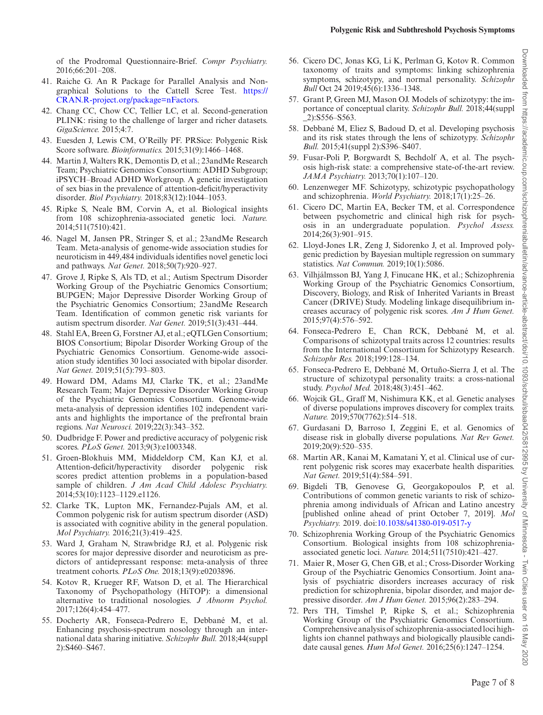of the Prodromal Questionnaire-Brief. *Compr Psychiatry.* 2016;66:201–208.

- <span id="page-6-0"></span>41. Raiche G. An R Package for Parallel Analysis and Nongraphical Solutions to the Cattell Scree Test. [https://](https://CRAN.R-project.org/package=nFactors) [CRAN.R-project.org/package=nFactors](https://CRAN.R-project.org/package=nFactors).
- <span id="page-6-1"></span>42. Chang CC, Chow CC, Tellier LC, et al. Second-generation PLINK: rising to the challenge of larger and richer datasets. *GigaScience.* 2015;4:7.
- <span id="page-6-2"></span>43. Euesden J, Lewis CM, O'Reilly PF. PRSice: Polygenic Risk Score software. *Bioinformatics.* 2015;31(9):1466–1468.
- 44. Martin J, Walters RK, Demontis D, et al.; 23andMe Research Team; Psychiatric Genomics Consortium: ADHD Subgroup; iPSYCH–Broad ADHD Workgroup. A genetic investigation of sex bias in the prevalence of attention-deficit/hyperactivity disorder. *Biol Psychiatry.* 2018;83(12):1044–1053.
- 45. Ripke S, Neale BM, Corvin A, et al. Biological insights from 108 schizophrenia-associated genetic loci. *Nature.* 2014;511(7510):421.
- 46. Nagel M, Jansen PR, Stringer S, et al.; 23andMe Research Team. Meta-analysis of genome-wide association studies for neuroticism in 449,484 individuals identifies novel genetic loci and pathways. *Nat Genet.* 2018;50(7):920–927.
- 47. Grove J, Ripke S, Als TD, et al.; Autism Spectrum Disorder Working Group of the Psychiatric Genomics Consortium; BUPGEN; Major Depressive Disorder Working Group of the Psychiatric Genomics Consortium; 23andMe Research Team. Identification of common genetic risk variants for autism spectrum disorder. *Nat Genet.* 2019;51(3):431–444.
- 48. Stahl EA, Breen G, Forstner AJ, et al.; eQTLGen Consortium; BIOS Consortium; Bipolar Disorder Working Group of the Psychiatric Genomics Consortium. Genome-wide association study identifies 30 loci associated with bipolar disorder. *Nat Genet.* 2019;51(5):793–803.
- 49. Howard DM, Adams MJ, Clarke TK, et al.; 23andMe Research Team; Major Depressive Disorder Working Group of the Psychiatric Genomics Consortium. Genome-wide meta-analysis of depression identifies 102 independent variants and highlights the importance of the prefrontal brain regions. *Nat Neurosci.* 2019;22(3):343–352.
- <span id="page-6-3"></span>50. Dudbridge F. Power and predictive accuracy of polygenic risk scores. *PLoS Genet.* 2013;9(3):e1003348.
- <span id="page-6-4"></span>51. Groen-Blokhuis MM, Middeldorp CM, Kan KJ, et al. Attention-deficit/hyperactivity disorder polygenic risk scores predict attention problems in a population-based sample of children. *J Am Acad Child Adolesc Psychiatry.* 2014;53(10):1123–1129.e1126.
- <span id="page-6-5"></span>52. Clarke TK, Lupton MK, Fernandez-Pujals AM, et al. Common polygenic risk for autism spectrum disorder (ASD) is associated with cognitive ability in the general population. *Mol Psychiatry.* 2016;21(3):419–425.
- <span id="page-6-6"></span>53. Ward J, Graham N, Strawbridge RJ, et al. Polygenic risk scores for major depressive disorder and neuroticism as predictors of antidepressant response: meta-analysis of three treatment cohorts. *PLoS One.* 2018;13(9):e0203896.
- <span id="page-6-7"></span>54. Kotov R, Krueger RF, Watson D, et al. The Hierarchical Taxonomy of Psychopathology (HiTOP): a dimensional alternative to traditional nosologies. *J Abnorm Psychol.* 2017;126(4):454–477.
- <span id="page-6-8"></span>55. Docherty AR, Fonseca-Pedrero E, Debbané M, et al. Enhancing psychosis-spectrum nosology through an international data sharing initiative. *Schizophr Bull.* 2018;44(suppl 2):S460–S467.
- <span id="page-6-9"></span>56. Cicero DC, Jonas KG, Li K, Perlman G, Kotov R. Common taxonomy of traits and symptoms: linking schizophrenia symptoms, schizotypy, and normal personality. *Schizophr Bull* Oct 24 2019;45(6):1336–1348.
- 57. Grant P, Green MJ, Mason OJ. Models of schizotypy: the importance of conceptual clarity. *Schizophr Bull.* 2018;44(suppl \_2):S556–S563.
- 58. Debbané M, Eliez S, Badoud D, et al. Developing psychosis and its risk states through the lens of schizotypy. *Schizophr Bull.* 2015;41(suppl 2):S396–S407.
- 59. Fusar-Poli P, Borgwardt S, Bechdolf A, et al. The psychosis high-risk state: a comprehensive state-of-the-art review. *JAMA Psychiatry.* 2013;70(1):107–120.
- 60. Lenzenweger MF. Schizotypy, schizotypic psychopathology and schizophrenia. *World Psychiatry.* 2018;17(1):25–26.
- <span id="page-6-10"></span>61. Cicero DC, Martin EA, Becker TM, et al. Correspondence between psychometric and clinical high risk for psychosis in an undergraduate population. *Psychol Assess.* 2014;26(3):901–915.
- <span id="page-6-11"></span>62. Lloyd-Jones LR, Zeng J, Sidorenko J, et al. Improved polygenic prediction by Bayesian multiple regression on summary statistics. *Nat Commun.* 2019;10(1):5086.
- <span id="page-6-12"></span>63. Vilhjálmsson BJ, Yang J, Finucane HK, et al.; Schizophrenia Working Group of the Psychiatric Genomics Consortium, Discovery, Biology, and Risk of Inherited Variants in Breast Cancer (DRIVE) Study. Modeling linkage disequilibrium increases accuracy of polygenic risk scores. *Am J Hum Genet.* 2015;97(4):576–592.
- <span id="page-6-13"></span>64. Fonseca-Pedrero E, Chan RCK, Debbané M, et al. Comparisons of schizotypal traits across 12 countries: results from the International Consortium for Schizotypy Research. *Schizophr Res.* 2018;199:128–134.
- <span id="page-6-14"></span>65. Fonseca-Pedrero E, Debbané M, Ortuño-Sierra J, et al. The structure of schizotypal personality traits: a cross-national study. *Psychol Med.* 2018;48(3):451–462.
- 66. Wojcik GL, Graff M, Nishimura KK, et al. Genetic analyses of diverse populations improves discovery for complex traits. *Nature.* 2019;570(7762):514–518.
- 67. Gurdasani D, Barroso I, Zeggini E, et al. Genomics of disease risk in globally diverse populations. *Nat Rev Genet.* 2019;20(9):520–535.
- 68. Martin AR, Kanai M, Kamatani Y, et al. Clinical use of current polygenic risk scores may exacerbate health disparities. *Nat Genet.* 2019;51(4):584–591.
- 69. Bigdeli TB, Genovese G, Georgakopoulos P, et al. Contributions of common genetic variants to risk of schizophrenia among individuals of African and Latino ancestry [published online ahead of print October 7, 2019]. *Mol Psychiatry.* 2019. doi:[10.1038/s41380-019-0517-y](http://10.1038/s41380-019-0517-y)
- 70. Schizophrenia Working Group of the Psychiatric Genomics Consortium. Biological insights from 108 schizophreniaassociated genetic loci. *Nature.* 2014;511(7510):421–427.
- 71. Maier R, Moser G, Chen GB, et al.; Cross-Disorder Working Group of the Psychiatric Genomics Consortium. Joint analysis of psychiatric disorders increases accuracy of risk prediction for schizophrenia, bipolar disorder, and major depressive disorder. *Am J Hum Genet.* 2015;96(2):283–294.
- 72. Pers TH, Timshel P, Ripke S, et al.; Schizophrenia Working Group of the Psychiatric Genomics Consortium. Comprehensive analysis of schizophrenia-associated loci highlights ion channel pathways and biologically plausible candidate causal genes. *Hum Mol Genet.* 2016;25(6):1247–1254.